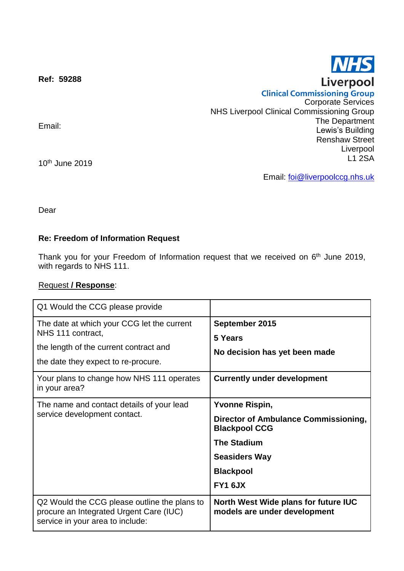**Ref: 59288**

Email:

10th June 2019

Email: [foi@liverpoolccg.nhs.uk](mailto:foi@liverpoolccg.nhs.uk)

Dear

## **Re: Freedom of Information Request**

Thank you for your Freedom of Information request that we received on 6<sup>th</sup> June 2019, with regards to NHS 111.

## Request **/ Response**:

| Q1 Would the CCG please provide                                                                                                                                                                                |                                                                                                                                                                                  |
|----------------------------------------------------------------------------------------------------------------------------------------------------------------------------------------------------------------|----------------------------------------------------------------------------------------------------------------------------------------------------------------------------------|
| The date at which your CCG let the current<br>NHS 111 contract,<br>the length of the current contract and<br>the date they expect to re-procure.<br>Your plans to change how NHS 111 operates<br>in your area? | September 2015<br>5 Years<br>No decision has yet been made<br><b>Currently under development</b>                                                                                 |
| The name and contact details of your lead<br>service development contact.                                                                                                                                      | <b>Yvonne Rispin,</b><br><b>Director of Ambulance Commissioning,</b><br><b>Blackpool CCG</b><br><b>The Stadium</b><br><b>Seasiders Way</b><br><b>Blackpool</b><br><b>FY1 6JX</b> |
| Q2 Would the CCG please outline the plans to<br>procure an Integrated Urgent Care (IUC)<br>service in your area to include:                                                                                    | North West Wide plans for future IUC<br>models are under development                                                                                                             |





Corporate Services

The Department Lewis's Building Renshaw Street

> Liverpool L1 2SA

**Clinical Commissioning Group** 

NHS Liverpool Clinical Commissioning Group